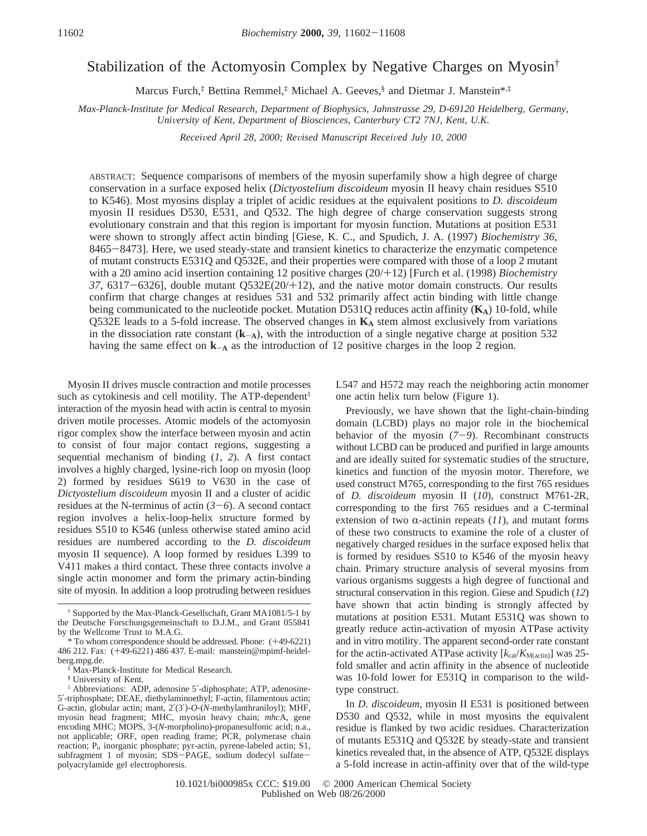# Stabilization of the Actomyosin Complex by Negative Charges on Myosin†

Marcus Furch,<sup>‡</sup> Bettina Remmel,<sup>‡</sup> Michael A. Geeves,<sup>§</sup> and Dietmar J. Manstein<sup>\*,‡</sup>

*Max-Planck-Institute for Medical Research, Department of Biophysics, Jahnstrasse 29, D-69120 Heidelberg, Germany, University of Kent, Department of Biosciences, Canterbury CT2 7NJ, Kent, U.K.* 

*Recei*V*ed April 28, 2000; Re*V*ised Manuscript Recei*V*ed July 10, 2000*

ABSTRACT: Sequence comparisons of members of the myosin superfamily show a high degree of charge conservation in a surface exposed helix (*Dictyostelium discoideum* myosin II heavy chain residues S510 to K546). Most myosins display a triplet of acidic residues at the equivalent positions to *D. discoideum* myosin II residues D530, E531, and Q532. The high degree of charge conservation suggests strong evolutionary constrain and that this region is important for myosin function. Mutations at position E531 were shown to strongly affect actin binding [Giese, K. C., and Spudich, J. A. (1997) *Biochemistry 36*, <sup>8465</sup>-8473]. Here, we used steady-state and transient kinetics to characterize the enzymatic competence of mutant constructs E531Q and Q532E, and their properties were compared with those of a loop 2 mutant with a 20 amino acid insertion containing 12 positive charges (20/+12) [Furch et al. (1998) *Biochemistry <sup>37</sup>*, 6317-6326], double mutant Q532E(20/+12), and the native motor domain constructs. Our results confirm that charge changes at residues 531 and 532 primarily affect actin binding with little change being communicated to the nucleotide pocket. Mutation D531Q reduces actin affinity (**KA**) 10-fold, while Q532E leads to a 5-fold increase. The observed changes in  $K_A$  stem almost exclusively from variations in the dissociation rate constant  $(k<sub>A</sub>)$ , with the introduction of a single negative charge at position 532 having the same effect on  $k_{-A}$  as the introduction of 12 positive charges in the loop 2 region.

Myosin II drives muscle contraction and motile processes such as cytokinesis and cell motility. The ATP-dependent<sup>1</sup> interaction of the myosin head with actin is central to myosin driven motile processes. Atomic models of the actomyosin rigor complex show the interface between myosin and actin to consist of four major contact regions, suggesting a sequential mechanism of binding (*1*, *2*). A first contact involves a highly charged, lysine-rich loop on myosin (loop 2) formed by residues S619 to V630 in the case of *Dictyostelium discoideum* myosin II and a cluster of acidic residues at the N-terminus of actin  $(3-6)$ . A second contact region involves a helix-loop-helix structure formed by residues S510 to K546 (unless otherwise stated amino acid residues are numbered according to the *D. discoideum* myosin II sequence). A loop formed by residues L399 to V411 makes a third contact. These three contacts involve a single actin monomer and form the primary actin-binding site of myosin. In addition a loop protruding between residues

§ University of Kent.

L547 and H572 may reach the neighboring actin monomer one actin helix turn below (Figure 1).

Previously, we have shown that the light-chain-binding domain (LCBD) plays no major role in the biochemical behavior of the myosin (*7*-*9*). Recombinant constructs without LCBD can be produced and purified in large amounts and are ideally suited for systematic studies of the structure, kinetics and function of the myosin motor. Therefore, we used construct M765, corresponding to the first 765 residues of *D. discoideum* myosin II (*10*), construct M761-2R, corresponding to the first 765 residues and a C-terminal extension of two  $\alpha$ -actinin repeats (11), and mutant forms of these two constructs to examine the role of a cluster of negatively charged residues in the surface exposed helix that is formed by residues S510 to K546 of the myosin heavy chain. Primary structure analysis of several myosins from various organisms suggests a high degree of functional and structural conservation in this region. Giese and Spudich (*12*) have shown that actin binding is strongly affected by mutations at position E531. Mutant E531Q was shown to greatly reduce actin-activation of myosin ATPase activity and in vitro motility. The apparent second-order rate constant for the actin-activated ATPase activity [ $k_{\text{cat}}/K_{\text{M}(\text{actin})}$ ] was 25fold smaller and actin affinity in the absence of nucleotide was 10-fold lower for E531Q in comparison to the wildtype construct.

In *D. discoideum*, myosin II E531 is positioned between D530 and Q532, while in most myosins the equivalent residue is flanked by two acidic residues. Characterization of mutants E531Q and Q532E by steady-state and transient kinetics revealed that, in the absence of ATP, Q532E displays a 5-fold increase in actin-affinity over that of the wild-type

<sup>†</sup> Supported by the Max-Planck-Gesellschaft, Grant MA1081/5-1 by the Deutsche Forschungsgemeinschaft to D.J.M., and Grant 055841 by the Wellcome Trust to M.A.G.

<sup>\*</sup> To whom correspondence should be addressed. Phone: (+49-6221) 486 212. Fax: (+49-6221) 486 437. E-mail: manstein@mpimf-heidelberg.mpg.de.

<sup>‡</sup> Max-Planck-Institute for Medical Research.

<sup>&</sup>lt;sup>1</sup> Abbreviations: ADP, adenosine 5'-diphosphate; ATP, adenosine-5′-triphosphate; DEAE, diethylaminoethyl; F-actin, filamentous actin; G-actin, globular actin; mant, 2′(3′)-*O*-(*N*-methylanthraniloyl); MHF, myosin head fragment; MHC, myosin heavy chain; *mhc*A, gene encoding MHC; MOPS, 3-(*N*-morpholino)-propanesulfonic acid; n.a., not applicable; ORF, open reading frame; PCR, polymerase chain reaction; P<sub>i</sub>, inorganic phosphate; pyr-actin, pyrene-labeled actin; S1, subfragment 1 of myosin; SDS-PAGE, sodium dodecyl sulfatepolyacrylamide gel electrophoresis.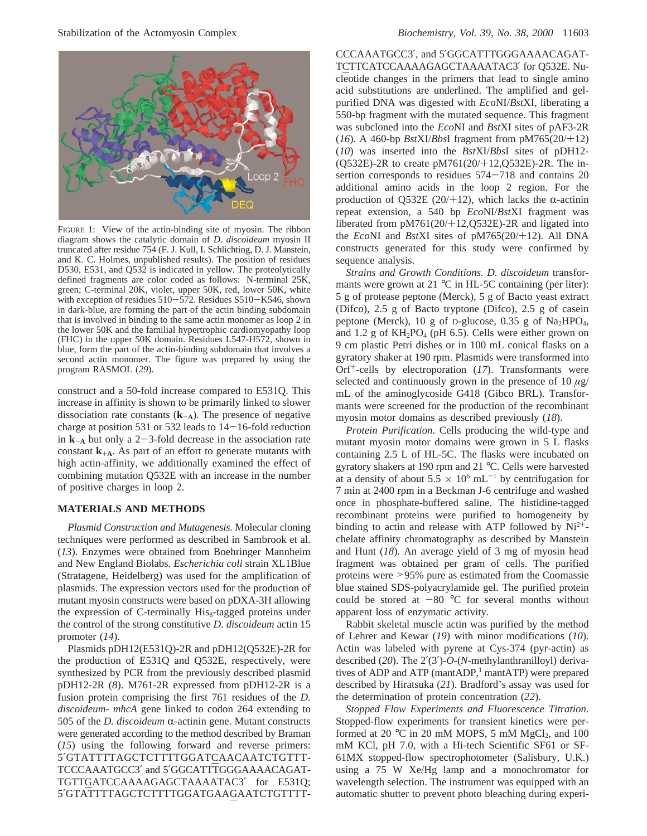

FIGURE 1: View of the actin-binding site of myosin. The ribbon diagram shows the catalytic domain of *D. discoideum* myosin II truncated after residue 754 (F. J. Kull, I. Schlichting, D. J. Manstein, and K. C. Holmes, unpublished results). The position of residues D530, E531, and Q532 is indicated in yellow. The proteolytically defined fragments are color coded as follows: N-terminal 25K, green; C-terminal 20K, violet, upper 50K, red, lower 50K, white with exception of residues  $510 - 572$ . Residues  $S510 - K546$ , shown in dark-blue, are forming the part of the actin binding subdomain that is involved in binding to the same actin monomer as loop 2 in the lower 50K and the familial hypertrophic cardiomyopathy loop (FHC) in the upper 50K domain. Residues L547-H572, shown in blue, form the part of the actin-binding subdomain that involves a second actin monomer. The figure was prepared by using the program RASMOL (*29*).

construct and a 50-fold increase compared to E531Q. This increase in affinity is shown to be primarily linked to slower dissociation rate constants  $(k_{-A})$ . The presence of negative charge at position 531 or 532 leads to  $14-16$ -fold reduction in  $k_{-A}$  but only a 2-3-fold decrease in the association rate constant  $\mathbf{k}_{+A}$ . As part of an effort to generate mutants with high actin-affinity, we additionally examined the effect of combining mutation Q532E with an increase in the number of positive charges in loop 2.

# **MATERIALS AND METHODS**

*Plasmid Construction and Mutagenesis.* Molecular cloning techniques were performed as described in Sambrook et al. (*13*). Enzymes were obtained from Boehringer Mannheim and New England Biolabs. *Escherichia coli* strain XL1Blue (Stratagene, Heidelberg) was used for the amplification of plasmids. The expression vectors used for the production of mutant myosin constructs were based on pDXA-3H allowing the expression of C-terminally His<sub>8</sub>-tagged proteins under the control of the strong constitutive *D. discoideum* actin 15 promoter (*14*).

Plasmids pDH12(E531Q)-2R and pDH12(Q532E)-2R for the production of E531Q and Q532E, respectively, were synthesized by PCR from the previously described plasmid pDH12-2R (*8*). M761-2R expressed from pDH12-2R is a fusion protein comprising the first 761 residues of the *D. discoideum*- *mhcA* gene linked to codon 264 extending to 505 of the *D. discoideum*  $\alpha$ -actinin gene. Mutant constructs were generated according to the method described by Braman (*15*) using the following forward and reverse primers: 5′GTATTTTAGCTCTTTTGGATCAACAATCTGTTT-TCCCAAATGCC3′ and 5′GGCATTTGGGAAAACAGAT-TGTTGATCCAAAAGAGCTAAAATAC3′ for E531Q; 5′GTATTTTAGCTCTTTTGGATGAAGAATCTGTTTT-

CCCAAATGCC3′, and 5′GGCATTTGGGAAAACAGAT-TCTTCATCCAAAAGAGCTAAAATAC3′ for Q532E. Nucleotide changes in the primers that lead to single amino acid substitutions are underlined. The amplified and gelpurified DNA was digested with *Eco*NI/*Bst*XI, liberating a 550-bp fragment with the mutated sequence. This fragment was subcloned into the *Eco*NI and *Bst*XI sites of pAF3-2R (*16*). A 460-bp *Bst*XI/*Bbs*I fragment from pM765(20/+12) (*10*) was inserted into the *Bst*XI/*Bbs*I sites of pDH12- (Q532E)-2R to create pM761(20/+12,Q532E)-2R. The insertion corresponds to residues  $574-718$  and contains 20 additional amino acids in the loop 2 region. For the production of Q532E (20/+12), which lacks the  $\alpha$ -actinin repeat extension, a 540 bp *Eco*NI/*Bst*XI fragment was liberated from pM761(20/+12,Q532E)-2R and ligated into the *Eco*NI and *Bst*XI sites of pM765(20/+12). All DNA constructs generated for this study were confirmed by sequence analysis.

*Strains and Growth Conditions. D. discoideum* transformants were grown at 21 °C in HL-5C containing (per liter): 5 g of protease peptone (Merck), 5 g of Bacto yeast extract (Difco), 2.5 g of Bacto tryptone (Difco), 2.5 g of casein peptone (Merck), 10 g of D-glucose, 0.35 g of Na<sub>2</sub>HPO<sub>4</sub>, and 1.2 g of  $KH_2PO_4$  (pH 6.5). Cells were either grown on 9 cm plastic Petri dishes or in 100 mL conical flasks on a gyratory shaker at 190 rpm. Plasmids were transformed into Orf+-cells by electroporation (*17*). Transformants were selected and continuously grown in the presence of 10  $\mu$ g/ mL of the aminoglycoside G418 (Gibco BRL). Transformants were screened for the production of the recombinant myosin motor domains as described previously (*18*).

*Protein Purification*. Cells producing the wild-type and mutant myosin motor domains were grown in 5 L flasks containing 2.5 L of HL-5C. The flasks were incubated on gyratory shakers at 190 rpm and 21 °C. Cells were harvested at a density of about  $5.5 \times 10^6$  mL<sup>-1</sup> by centrifugation for 7 min at 2400 rpm in a Beckman J-6 centrifuge and washed once in phosphate-buffered saline. The histidine-tagged recombinant proteins were purified to homogeneity by binding to actin and release with ATP followed by  $Ni^{2+}$ chelate affinity chromatography as described by Manstein and Hunt (*18*). An average yield of 3 mg of myosin head fragment was obtained per gram of cells. The purified proteins were >95% pure as estimated from the Coomassie blue stained SDS-polyacrylamide gel. The purified protein could be stored at  $-80$  °C for several months without apparent loss of enzymatic activity.

Rabbit skeletal muscle actin was purified by the method of Lehrer and Kewar (*19*) with minor modifications (*10*). Actin was labeled with pyrene at Cys-374 (pyr-actin) as described (*20*). The 2′(3′)-*O-*(*N*-methylanthranilloyl) derivatives of ADP and ATP (mantADP,<sup>1</sup> mantATP) were prepared described by Hiratsuka (*21*). Bradford's assay was used for the determination of protein concentration (*22*).

*Stopped Flow Experiments and Fluorescence Titration.* Stopped-flow experiments for transient kinetics were performed at 20 $\degree$ C in 20 mM MOPS, 5 mM MgCl<sub>2</sub>, and 100 mM KCl, pH 7.0, with a Hi-tech Scientific SF61 or SF-61MX stopped-flow spectrophotometer (Salisbury, U.K.) using a 75 W Xe/Hg lamp and a monochromator for wavelength selection. The instrument was equipped with an automatic shutter to prevent photo bleaching during experi-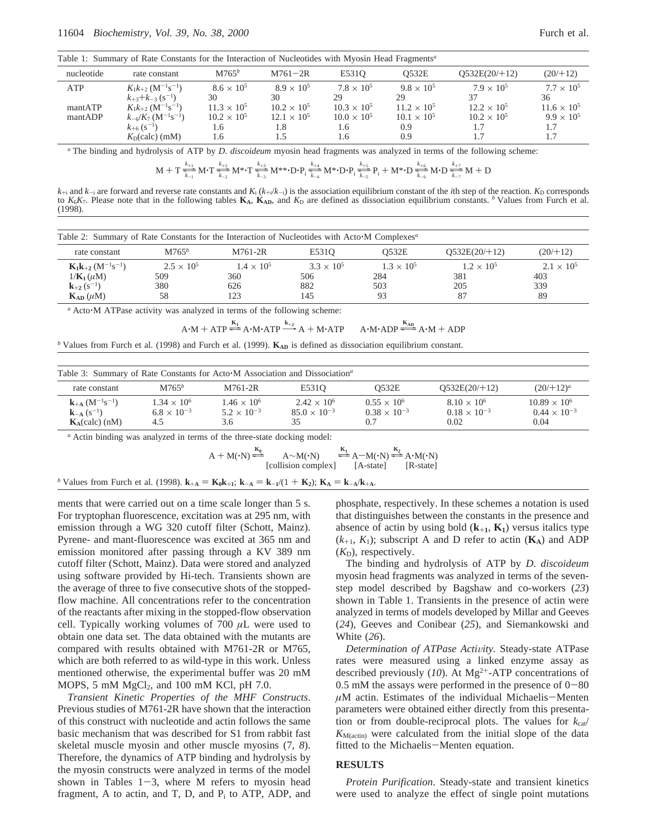Table 1: Summary of Rate Constants for the Interaction of Nucleotides with Myosin Head Fragments*<sup>a</sup>*

| nucleotide         | rate constant                                                                                                                                         | $M765^b$                                                   | $M761 - 2R$                                       | E5310                                                    | <b>O532E</b>                                               | $O532E(20/+12)$                          | (20/112)                                              |
|--------------------|-------------------------------------------------------------------------------------------------------------------------------------------------------|------------------------------------------------------------|---------------------------------------------------|----------------------------------------------------------|------------------------------------------------------------|------------------------------------------|-------------------------------------------------------|
| ATP                | $K_1k_{+2}$ (M <sup>-1</sup> s <sup>-1</sup> )<br>$k_{+3}+k_{-3}(s^{-1})$                                                                             | $8.6 \times 10^{5}$<br>30                                  | $8.9 \times 10^{5}$<br>30                         | $7.8 \times 10^{5}$<br>29.                               | $9.8 \times 10^{5}$<br>29                                  | $7.9 \times 10^{5}$<br>37                | $7.7 \times 10^{5}$<br>36                             |
| mantATP<br>mantADP | $K_1k_{+2}$ (M <sup>-1</sup> s <sup>-1</sup> )<br>$k_{-6}/K_7$ (M <sup>-1</sup> s <sup>-1</sup> )<br>$k_{+6}$ (s <sup>-1</sup> )<br>$K_D$ (calc) (mM) | $11.3 \times 10^{5}$<br>$10.2 \times 10^{5}$<br>1.6<br>1.6 | $10.2 \times 10^{5}$<br>$12.1 \times 10^5$<br>1.8 | $10.3 \times 10^{5}$<br>$10.0 \times 10^5$<br>1.6<br>1.6 | $11.2 \times 10^{5}$<br>$10.1 \times 10^{5}$<br>0.9<br>0.9 | $12.2 \times 10^5$<br>$10.2 \times 10^5$ | $11.6 \times 10^5$<br>$9.9 \times 10^5$<br>1.7<br>1.7 |

*<sup>a</sup>* The binding and hydrolysis of ATP by *D. discoideum* myosin head fragments was analyzed in terms of the following scheme:

$$
M+T\frac{\frac{k_{+1}}{k_{-1}}}{\frac{k_{-1}}{k_{-1}}}M^{\centerdot}T\frac{\frac{k_{+2}}{k_{-2}}}{\frac{k_{-3}}{k_{-3}}}M^{**\centerdot}\cdot D^{\centerdot}P_{i}\frac{\frac{k_{+4}}{k_{-4}}}{\frac{k_{-4}}{k_{-4}}}M^{* \centerdot}D^{\centerdot}P_{i}\frac{\frac{k_{+5}}{k_{-5}}}{\frac{k_{-5}}{k_{-5}}}P_{i}+M^{* \centerdot}D\frac{\frac{k_{+6}}{k_{-5}}}{\frac{k_{-6}}{k_{-5}}}M^{\centerdot}D\frac{\frac{k_{+7}}{k_{-7}}}{\frac{k_{-7}}{k_{-7}}}M+D
$$

 $M + T \frac{1}{k_{-1}} M \cdot T \frac{1}{k_{-2}} M^* \cdot T \frac{1}{k_{-3}} M^* \cdot D \cdot P_i \frac{1}{k_{-4}} M^* \cdot D \cdot P_i \frac{1}{k_{-5}} P_i + M^* \cdot D \frac{1}{k_{-6}} M \cdot D \frac{1}{k_{-7}} M + D$ <br>  $k_{+i}$  and  $k_{-i}$  are forward and reverse rate constants and  $K_i (k_{+i}/k_{-i})$  is the association to  $K_6K_7$ . Please note that in the following tables  $K_A$ ,  $K_{AD}$ , and  $K_D$  are defined as dissociation equilibrium constants. <sup>b</sup> Values from Furch et al. (1998).

| Table 2: Summary of Rate Constants for the Interaction of Nucleotides with Acto M Complexes <sup>a</sup> |                     |                     |                     |                     |                     |                   |
|----------------------------------------------------------------------------------------------------------|---------------------|---------------------|---------------------|---------------------|---------------------|-------------------|
| rate constant                                                                                            | $M765^b$            | M761-2R             | E5310               | 0532E               | O532E(20/12)        | (20/112)          |
| $K_1k_{+2}$ (M <sup>-1</sup> s <sup>-1</sup> )                                                           | $2.5 \times 10^{5}$ | $1.4 \times 10^{5}$ | $3.3 \times 10^{5}$ | $1.3 \times 10^{5}$ | $1.2 \times 10^{5}$ | $2.1 \times 10^5$ |
| $1/\mathbf{K}_1(\mu M)$                                                                                  | 509                 | 360                 | 506                 | 284                 | 381                 | 403               |
| ${\bf k}_{+2}$ (s <sup>-1</sup> )                                                                        | 380                 | 626                 | 882                 | 503                 | 205                 | 339               |
| $K_{AD}(\mu M)$                                                                                          | 58                  | 123                 | 145                 | 93                  |                     | 89                |

*<sup>a</sup>* Acto'M ATPase activity was analyzed in terms of the following scheme:

A·M + ATP 
$$
\stackrel{\mathbf{K}_{1}}{\Longleftarrow}
$$
 A·M·ATP  $\stackrel{k_{+2}}{\longleftarrow}$  A + M·ATP  $\stackrel{\mathbf{K}_{AD}}{\longleftarrow}$  A·M + ADP  
98) and Furch et al. (1999).  $\mathbf{K}_{AD}$  is defined as dissociation equilibrium constant.

*b* Values from Furch et al. (1998) and Furch et al. (1999). **K**<sub>AD</sub> is defined as dissociation equilibrium constant.

| Table 3: Summary of Rate Constants for Acto•M Association and Dissociation <sup>a</sup>   |                                                     |                                                     |                                                     |                                                    |                                                       |                                                      |
|-------------------------------------------------------------------------------------------|-----------------------------------------------------|-----------------------------------------------------|-----------------------------------------------------|----------------------------------------------------|-------------------------------------------------------|------------------------------------------------------|
| rate constant                                                                             | $M765^b$                                            | M761-2R                                             | E531O                                               | O532E                                              | O532E(20/12)                                          | $(20/12)^a$                                          |
| ${\bf k}_{+A}$ $(M^{-1}s^{-1})$<br>${\bf k}_{-1}$ (s <sup>-1</sup> )<br>$K_A$ (calc) (nM) | $1.34 \times 10^{6}$<br>$6.8 \times 10^{-3}$<br>4.5 | $1.46 \times 10^{6}$<br>$5.2 \times 10^{-3}$<br>3.6 | $2.42 \times 10^{6}$<br>$85.0 \times 10^{-3}$<br>35 | $0.55 \times 10^6$<br>$0.38 \times 10^{-3}$<br>0.7 | $8.10 \times 10^{6}$<br>$0.18 \times 10^{-3}$<br>0.02 | $10.89 \times 10^6$<br>$0.44 \times 10^{-3}$<br>0.04 |

*<sup>a</sup>* Actin binding was analyzed in terms of the three-state docking model:

 $A + M(\cdot N) \stackrel{K_0}{\longleftarrow}$  $A \sim M(\cdot N)$ [collision complex] y\z  $\stackrel{\mathbf{K}_1}{\rightleftharpoons} \mathbf{A} \rightarrow \mathbf{M}(\cdot \mathbf{N})$ <br>  $\stackrel{\mathbf{K}_2}{\longrightarrow} \mathbf{A} \cdot \mathbf{M}(\cdot \mathbf{N})$ <br>  $\stackrel{\mathbf{K}_3}{\longrightarrow} \mathbf{A} \cdot \mathbf{M}(\cdot \mathbf{N})$ [A-state] [R-state]

*b* Values from Furch et al. (1998).  $\mathbf{k}_{+A} = \mathbf{K}_0 \mathbf{k}_{+1}$ ;  $\mathbf{k}_{-A} = \mathbf{k}_{-1}/(1 + \mathbf{K}_2)$ ;  $\mathbf{K}_A = \mathbf{k}_{-A}/\mathbf{k}_{+A}$ .

ments that were carried out on a time scale longer than 5 s. For tryptophan fluorescence, excitation was at 295 nm, with emission through a WG 320 cutoff filter (Schott, Mainz). Pyrene- and mant-fluorescence was excited at 365 nm and emission monitored after passing through a KV 389 nm cutoff filter (Schott, Mainz). Data were stored and analyzed using software provided by Hi-tech. Transients shown are the average of three to five consecutive shots of the stoppedflow machine. All concentrations refer to the concentration of the reactants after mixing in the stopped-flow observation cell. Typically working volumes of 700 *µ*L were used to obtain one data set. The data obtained with the mutants are compared with results obtained with M761-2R or M765, which are both referred to as wild-type in this work. Unless mentioned otherwise, the experimental buffer was 20 mM MOPS, 5 mM  $MgCl<sub>2</sub>$ , and 100 mM KCl, pH 7.0.

*Transient Kinetic Properties of the MHF Constructs*. Previous studies of M761-2R have shown that the interaction of this construct with nucleotide and actin follows the same basic mechanism that was described for S1 from rabbit fast skeletal muscle myosin and other muscle myosins (7, *8*). Therefore, the dynamics of ATP binding and hydrolysis by the myosin constructs were analyzed in terms of the model shown in Tables  $1-3$ , where M refers to myosin head fragment, A to actin, and T, D, and  $P_i$  to ATP, ADP, and

phosphate, respectively. In these schemes a notation is used that distinguishes between the constants in the presence and absence of actin by using bold  $(k_{+1}, K_1)$  versus italics type  $(k_{+1}, K_1)$ ; subscript A and D refer to actin  $(K_A)$  and ADP  $(K_D)$ , respectively.

The binding and hydrolysis of ATP by *D. discoideum* myosin head fragments was analyzed in terms of the sevenstep model described by Bagshaw and co-workers (*23*) shown in Table 1. Transients in the presence of actin were analyzed in terms of models developed by Millar and Geeves (*24*), Geeves and Conibear (*25*), and Siemankowski and White (*26*).

*Determination of ATPase Activity.* Steady-state ATPase rates were measured using a linked enzyme assay as described previously (10). At Mg<sup>2+</sup>-ATP concentrations of  $0.5$  mM the assays were performed in the presence of  $0-80$  $\mu$ M actin. Estimates of the individual Michaelis-Menten parameters were obtained either directly from this presentation or from double-reciprocal plots. The values for  $k_{cat}$  $K_{\text{M(actin)}}$  were calculated from the initial slope of the data fitted to the Michaelis-Menten equation.

## **RESULTS**

*Protein Purification*. Steady-state and transient kinetics were used to analyze the effect of single point mutations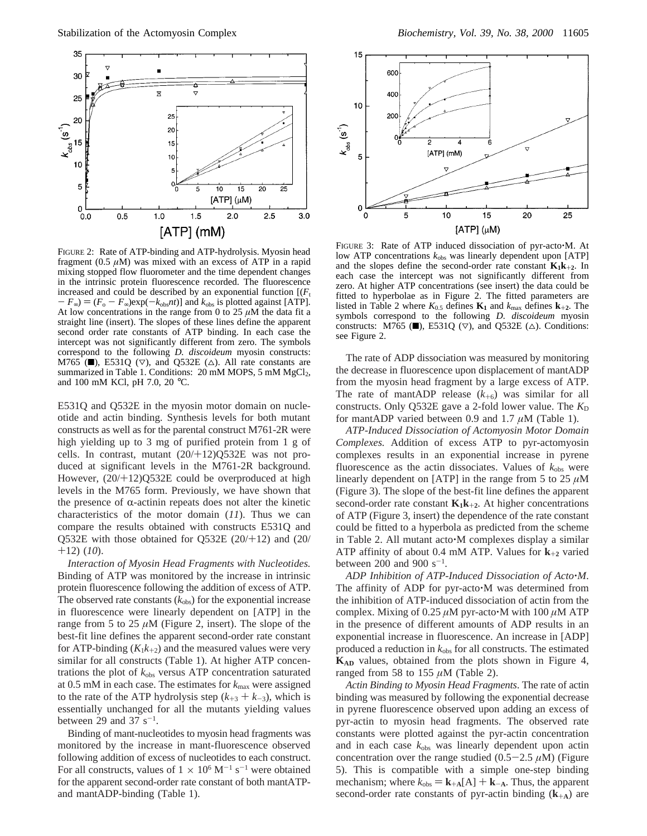

FIGURE 2: Rate of ATP-binding and ATP-hydrolysis. Myosin head fragment ( $0.5 \mu M$ ) was mixed with an excess of ATP in a rapid mixing stopped flow fluorometer and the time dependent changes in the intrinsic protein fluorescence recorded. The fluorescence increased and could be described by an exponential function  $[(F_t)]$  $-F_{\infty}$ ) =  $(F_o - F_{\infty})$ exp( $-k_{obs}$ *nt*)] and  $k_{obs}$  is plotted against [ATP]. At low concentrations in the range from 0 to 25  $\mu$ M the data fit a straight line (insert). The slopes of these lines define the apparent second order rate constants of ATP binding. In each case the intercept was not significantly different from zero. The symbols correspond to the following *D. discoideum* myosin constructs: M765 ( $\blacksquare$ ), E531Q ( $\nabla$ ), and Q532E ( $\triangle$ ). All rate constants are summarized in Table 1. Conditions:  $20 \text{ mM MOPS}, 5 \text{ mM MgCl}_2$ , and 100 mM KCl, pH 7.0, 20 °C.

E531Q and Q532E in the myosin motor domain on nucleotide and actin binding. Synthesis levels for both mutant constructs as well as for the parental construct M761-2R were high yielding up to 3 mg of purified protein from 1 g of cells. In contrast, mutant  $(20/+12)Q532E$  was not produced at significant levels in the M761-2R background. However, (20/+12)Q532E could be overproduced at high levels in the M765 form. Previously, we have shown that the presence of  $\alpha$ -actinin repeats does not alter the kinetic characteristics of the motor domain (*11*). Thus we can compare the results obtained with constructs E531Q and Q532E with those obtained for Q532E (20/+12) and (20/ +12) (*10*).

*Interaction of Myosin Head Fragments with Nucleotides.* Binding of ATP was monitored by the increase in intrinsic protein fluorescence following the addition of excess of ATP. The observed rate constants  $(k_{obs})$  for the exponential increase in fluorescence were linearly dependent on [ATP] in the range from 5 to 25  $\mu$ M (Figure 2, insert). The slope of the best-fit line defines the apparent second-order rate constant for ATP-binding  $(K_1k_{+2})$  and the measured values were very similar for all constructs (Table 1). At higher ATP concentrations the plot of *k*obs versus ATP concentration saturated at 0.5 mM in each case. The estimates for *k*max were assigned to the rate of the ATP hydrolysis step  $(k_{+3} + k_{-3})$ , which is essentially unchanged for all the mutants yielding values between 29 and 37  $s^{-1}$ .

Binding of mant-nucleotides to myosin head fragments was monitored by the increase in mant-fluorescence observed following addition of excess of nucleotides to each construct. For all constructs, values of  $1 \times 10^6$  M<sup>-1</sup> s<sup>-1</sup> were obtained for the apparent second-order rate constant of both mantATPand mantADP-binding (Table 1).



FIGURE 3: Rate of ATP induced dissociation of pyr-acto $\cdot$ M. At low ATP concentrations  $k_{obs}$  was linearly dependent upon [ATP] and the slopes define the second-order rate constant  $K_1k_{+2}$ . In each case the intercept was not significantly different from zero. At higher ATP concentrations (see insert) the data could be fitted to hyperbolae as in Figure 2. The fitted parameters are listed in Table 2 where  $K_{0.5}$  defines  $\mathbf{K}_1$  and  $k_{\text{max}}$  defines  $\mathbf{k}_{+2}$ . The symbols correspond to the following *D. discoideum* myosin constructs: M765 ( $\blacksquare$ ), E531Q ( $\nabla$ ), and Q532E ( $\triangle$ ). Conditions: see Figure 2.

The rate of ADP dissociation was measured by monitoring the decrease in fluorescence upon displacement of mantADP from the myosin head fragment by a large excess of ATP. The rate of mantADP release  $(k_{+6})$  was similar for all constructs. Only Q532E gave a 2-fold lower value. The  $K<sub>D</sub>$ for mantADP varied between 0.9 and 1.7 *µ*M (Table 1).

*ATP-Induced Dissociation of Actomyosin Motor Domain Complexes.* Addition of excess ATP to pyr-actomyosin complexes results in an exponential increase in pyrene fluorescence as the actin dissociates. Values of  $k_{obs}$  were linearly dependent on [ATP] in the range from 5 to 25 *µ*M (Figure 3). The slope of the best-fit line defines the apparent second-order rate constant  $K_1k_{+2}$ . At higher concentrations of ATP (Figure 3, insert) the dependence of the rate constant could be fitted to a hyperbola as predicted from the scheme in Table 2. All mutant acto'M complexes display a similar ATP affinity of about 0.4 mM ATP. Values for **<sup>k</sup>**+**<sup>2</sup>** varied between  $200$  and  $900$  s<sup>-1</sup>.

*ADP Inhibition of ATP-Induced Dissociation of Acto*'*M*. The affinity of ADP for pyr-acto'M was determined from the inhibition of ATP-induced dissociation of actin from the complex. Mixing of 0.25  $\mu$ M pyr-acto $\cdot$ M with 100  $\mu$ M ATP in the presence of different amounts of ADP results in an exponential increase in fluorescence. An increase in [ADP] produced a reduction in  $k_{obs}$  for all constructs. The estimated **KAD** values, obtained from the plots shown in Figure 4, ranged from 58 to 155 *µ*M (Table 2).

*Actin Binding to Myosin Head Fragments*. The rate of actin binding was measured by following the exponential decrease in pyrene fluorescence observed upon adding an excess of pyr-actin to myosin head fragments. The observed rate constants were plotted against the pyr-actin concentration and in each case  $k_{obs}$  was linearly dependent upon actin concentration over the range studied  $(0.5-2.5 \mu M)$  (Figure 5). This is compatible with a simple one-step binding mechanism; where  $k_{obs} = \mathbf{k}_{+A}[A] + \mathbf{k}_{-A}$ . Thus, the apparent second-order rate constants of pyr-actin binding (**k**+**<sup>A</sup>**) are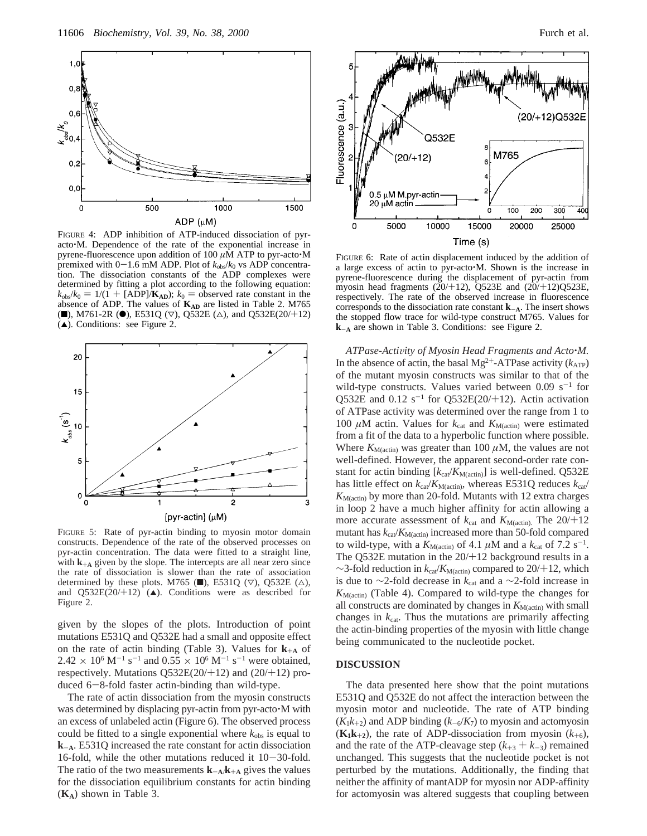

FIGURE 4: ADP inhibition of ATP-induced dissociation of pyracto'M. Dependence of the rate of the exponential increase in pyrene-fluorescence upon addition of 100 *<sup>µ</sup>*M ATP to pyr-acto'<sup>M</sup> premixed with  $0-1.6$  mM ADP. Plot of  $k_{obs}/k_0$  vs ADP concentration. The dissociation constants of the ADP complexes were determined by fitting a plot according to the following equation:  $k_{\text{obs}}/k_0 = 1/(1 + \text{[ADP]}/\mathbf{K}_{AD})$ ;  $k_0 =$  observed rate constant in the absence of ADP. The values of  $K_{AD}$  are listed in Table 2. M765 (0), M761-2R ( $\bullet$ ), E531Q ( $\nabla$ ), Q532E ( $\triangle$ ), and Q532E(20/+12)  $(A)$ . Conditions: see Figure 2.



FIGURE 5: Rate of pyr-actin binding to myosin motor domain constructs. Dependence of the rate of the observed processes on pyr-actin concentration. The data were fitted to a straight line, with  $\mathbf{k}_{+A}$  given by the slope. The intercepts are all near zero since the rate of dissociation is slower than the rate of association determined by these plots. M765 ( $\blacksquare$ ), E531Q ( $\triangledown$ ), Q532E ( $\triangle$ ), and  $Q532E(20/12)$  ( $\triangle$ ). Conditions were as described for Figure 2.

given by the slopes of the plots. Introduction of point mutations E531Q and Q532E had a small and opposite effect on the rate of actin binding (Table 3). Values for  $\mathbf{k}_{+A}$  of  $2.42 \times 10^6$  M<sup>-1</sup> s<sup>-1</sup> and 0.55  $\times 10^6$  M<sup>-1</sup> s<sup>-1</sup> were obtained, respectively. Mutations  $Q532E(20/12)$  and  $(20/12)$  produced 6-8-fold faster actin-binding than wild-type.

The rate of actin dissociation from the myosin constructs was determined by displacing pyr-actin from pyr-acto'M with an excess of unlabeled actin (Figure 6). The observed process could be fitted to a single exponential where  $k_{obs}$  is equal to **<sup>k</sup>**-**<sup>A</sup>**. E531Q increased the rate constant for actin dissociation 16-fold, while the other mutations reduced it  $10-30$ -fold. The ratio of the two measurements  $\mathbf{k}_{-\mathbf{A}}/\mathbf{k}_{+\mathbf{A}}$  gives the values for the dissociation equilibrium constants for actin binding (**KA**) shown in Table 3.



FIGURE 6: Rate of actin displacement induced by the addition of a large excess of actin to pyr-acto'M. Shown is the increase in pyrene-fluorescence during the displacement of pyr-actin from myosin head fragments  $(20/12)$ ,  $\overline{Q}$ 523E and  $(20/12)$  $\overline{Q}$ 523E, respectively. The rate of the observed increase in fluorescence corresponds to the dissociation rate constant **<sup>k</sup>**-**<sup>A</sup>**. The insert shows the stopped flow trace for wild-type construct M765. Values for **<sup>k</sup>**-**<sup>A</sup>** are shown in Table 3. Conditions: see Figure 2.

*ATPase-Activity of Myosin Head Fragments and Acto* $\cdot$ *M.* In the absence of actin, the basal  $Mg^{2+}$ -ATPase activity ( $k_{ATP}$ ) of the mutant myosin constructs was similar to that of the wild-type constructs. Values varied between  $0.09 \text{ s}^{-1}$  for Q532E and  $0.12$  s<sup>-1</sup> for Q532E(20/+12). Actin activation of ATPase activity was determined over the range from 1 to 100  $\mu$ M actin. Values for  $k_{cat}$  and  $K_{M(\text{actin})}$  were estimated from a fit of the data to a hyperbolic function where possible. Where  $K_{\text{M(actin)}}$  was greater than 100  $\mu$ M, the values are not well-defined. However, the apparent second-order rate constant for actin binding [ $k_{cat}/K_{M(actin)}$ ] is well-defined. Q532E has little effect on  $k_{\text{cat}}/K_{\text{M(action)}}$ , whereas E531Q reduces  $k_{\text{cat}}/K_{\text{M(action)}}$ *K*M(actin) by more than 20-fold. Mutants with 12 extra charges in loop 2 have a much higher affinity for actin allowing a more accurate assessment of  $k_{\text{cat}}$  and  $K_{\text{M(actin)}}$ . The 20/+12 mutant has  $k_{\text{cat}}/K_{\text{M(action)}}$  increased more than 50-fold compared to wild-type, with a  $K_{M(\text{action})}$  of 4.1  $\mu$ M and a  $k_{\text{cat}}$  of 7.2 s<sup>-1</sup>. The Q532E mutation in the  $20/+12$  background results in a ∼3-fold reduction in  $k_{\text{cat}}/K_{\text{M(action)}}$  compared to 20/+12, which is due to ∼2-fold decrease in  $k_{cat}$  and a ∼2-fold increase in  $K_{\text{M(actin)}}$  (Table 4). Compared to wild-type the changes for all constructs are dominated by changes in  $K_{M(\text{actin})}$  with small changes in *k*cat. Thus the mutations are primarily affecting the actin-binding properties of the myosin with little change being communicated to the nucleotide pocket.

#### **DISCUSSION**

The data presented here show that the point mutations E531Q and Q532E do not affect the interaction between the myosin motor and nucleotide. The rate of ATP binding  $(K_1k_{+2})$  and ADP binding  $(k_{-6}/K_7)$  to myosin and actomyosin  $(K_1k_{+2})$ , the rate of ADP-dissociation from myosin  $(k_{+6})$ , and the rate of the ATP-cleavage step  $(k_{+3} + k_{-3})$  remained unchanged. This suggests that the nucleotide pocket is not perturbed by the mutations. Additionally, the finding that neither the affinity of mantADP for myosin nor ADP-affinity for actomyosin was altered suggests that coupling between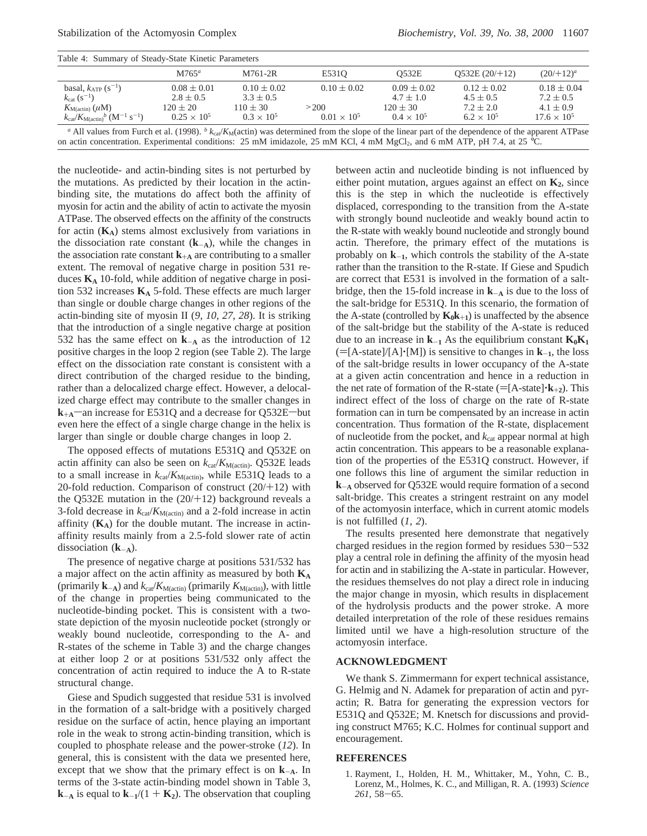| Table 4: Summary of Steady-State Kinetic Parameters                     |                                  |                                  |                      |                                  |                                  |                                  |
|-------------------------------------------------------------------------|----------------------------------|----------------------------------|----------------------|----------------------------------|----------------------------------|----------------------------------|
|                                                                         | $M765^a$                         | M761-2R                          | E5310                | 0532E                            | O532E(20/12)                     | $(20/112)^a$                     |
| basal, $k_{ATP}$ (s <sup>-1</sup> )<br>$k_{\text{cat}} (s^{-1})$        | $0.08 \pm 0.01$<br>$2.8 \pm 0.5$ | $0.10 \pm 0.02$<br>$3.3 \pm 0.5$ | $0.10 \pm 0.02$      | $0.09 \pm 0.02$<br>$4.7 \pm 1.0$ | $0.12 \pm 0.02$<br>$4.5 \pm 0.5$ | $0.18 \pm 0.04$<br>$7.2 \pm 0.5$ |
| $K_{\text{M}(\text{actin})}(\mu M)$                                     | $120 \pm 20$                     | $110 + 30$                       | >200                 | $120 \pm 30$                     | $7.2 \pm 2.0$                    | $4.1 \pm 0.9$                    |
| $k_{\rm cat}/K_{\rm M(actin)}{}^{b}$ (M <sup>-1</sup> s <sup>-1</sup> ) | $0.25 \times 10^5$               | $0.3 \times 10^{5}$              | $0.01 \times 10^{5}$ | $0.4 \times 10^{5}$              | $6.2 \times 10^{5}$              | $17.6 \times 10^5$               |

<sup>*a*</sup> All values from Furch et al. (1998). *<sup>b</sup>*  $k_{ca}/K_M$ (actin) was determined from the slope of the linear part of the dependence of the apparent ATPase on actin concentration. Experimental conditions: 25 mM imidazole, 25 mM KCl, 4 mM MgCl<sub>2</sub>, and 6 mM ATP, pH 7.4, at 25 °C.

the nucleotide- and actin-binding sites is not perturbed by the mutations. As predicted by their location in the actinbinding site, the mutations do affect both the affinity of myosin for actin and the ability of actin to activate the myosin ATPase. The observed effects on the affinity of the constructs for actin  $(K_A)$  stems almost exclusively from variations in the dissociation rate constant  $(k_{-A})$ , while the changes in the association rate constant  $\mathbf{k}_{+A}$  are contributing to a smaller extent. The removal of negative charge in position 531 reduces  $K_A$  10-fold, while addition of negative charge in position 532 increases  $K_A$  5-fold. These effects are much larger than single or double charge changes in other regions of the actin-binding site of myosin II (*9*, *10*, *27*, *28*). It is striking that the introduction of a single negative charge at position 532 has the same effect on **<sup>k</sup>**-**<sup>A</sup>** as the introduction of 12 positive charges in the loop 2 region (see Table 2). The large effect on the dissociation rate constant is consistent with a direct contribution of the charged residue to the binding, rather than a delocalized charge effect. However, a delocalized charge effect may contribute to the smaller changes in  $k_{+A}$ —an increase for E531Q and a decrease for Q532E—but even here the effect of a single charge change in the helix is larger than single or double charge changes in loop 2.

The opposed effects of mutations E531Q and Q532E on actin affinity can also be seen on  $k_{cat}/K_{M(actin)}$ . Q532E leads to a small increase in  $k_{\text{cat}}/K_{\text{M}(\text{actin})}$ , while E531Q leads to a 20-fold reduction. Comparison of construct  $(20/+12)$  with the Q532E mutation in the  $(20/+12)$  background reveals a 3-fold decrease in  $k_{cat}/K_{M(actin)}$  and a 2-fold increase in actin affinity  $(K_A)$  for the double mutant. The increase in actinaffinity results mainly from a 2.5-fold slower rate of actin dissociation  $(k_{-A})$ .

The presence of negative charge at positions 531/532 has a major affect on the actin affinity as measured by both **KA** (primarily  $\mathbf{k}_{-\mathbf{A}}$ ) and  $k_{\text{cat}}/K_{\text{M}(\text{actin})}$  (primarily  $K_{\text{M}(\text{actin})}$ ), with little of the change in properties being communicated to the nucleotide-binding pocket. This is consistent with a twostate depiction of the myosin nucleotide pocket (strongly or weakly bound nucleotide, corresponding to the A- and R-states of the scheme in Table 3) and the charge changes at either loop 2 or at positions 531/532 only affect the concentration of actin required to induce the A to R-state structural change.

Giese and Spudich suggested that residue 531 is involved in the formation of a salt-bridge with a positively charged residue on the surface of actin, hence playing an important role in the weak to strong actin-binding transition, which is coupled to phosphate release and the power-stroke (*12*). In general, this is consistent with the data we presented here, except that we show that the primary effect is on  $k_{-A}$ . In terms of the 3-state actin-binding model shown in Table 3,  $\mathbf{k}_{\text{A}}$  is equal to  $\mathbf{k}_{\text{-1}}/(1 + \mathbf{K}_{2})$ . The observation that coupling between actin and nucleotide binding is not influenced by either point mutation, argues against an effect on  $K_2$ , since this is the step in which the nucleotide is effectively displaced, corresponding to the transition from the A-state with strongly bound nucleotide and weakly bound actin to the R-state with weakly bound nucleotide and strongly bound actin. Therefore, the primary effect of the mutations is probably on  $k_{-1}$ , which controls the stability of the A-state rather than the transition to the R-state. If Giese and Spudich are correct that E531 is involved in the formation of a saltbridge, then the 15-fold increase in  $k_{-A}$  is due to the loss of the salt-bridge for E531Q. In this scenario, the formation of the A-state (controlled by  $K_0k_{+1}$ ) is unaffected by the absence of the salt-bridge but the stability of the A-state is reduced due to an increase in  $k_{-1}$  As the equilibrium constant  $K_0K_1$  $(=[A-state]/[A] \cdot [M])$  is sensitive to changes in  $\mathbf{k}_{-1}$ , the loss of the salt-bridge results in lower occupancy of the A-state at a given actin concentration and hence in a reduction in the net rate of formation of the R-state ( $=[A-state]\cdot\mathbf{k}_{+2}$ ). This indirect effect of the loss of charge on the rate of R-state formation can in turn be compensated by an increase in actin concentration. Thus formation of the R-state, displacement of nucleotide from the pocket, and *k*cat appear normal at high actin concentration. This appears to be a reasonable explanation of the properties of the E531Q construct. However, if one follows this line of argument the similar reduction in **<sup>k</sup>**-**<sup>A</sup>** observed for Q532E would require formation of a second salt-bridge. This creates a stringent restraint on any model of the actomyosin interface, which in current atomic models is not fulfilled (*1*, *2*).

The results presented here demonstrate that negatively charged residues in the region formed by residues 530-<sup>532</sup> play a central role in defining the affinity of the myosin head for actin and in stabilizing the A-state in particular. However, the residues themselves do not play a direct role in inducing the major change in myosin, which results in displacement of the hydrolysis products and the power stroke. A more detailed interpretation of the role of these residues remains limited until we have a high-resolution structure of the actomyosin interface.

## **ACKNOWLEDGMENT**

We thank S. Zimmermann for expert technical assistance, G. Helmig and N. Adamek for preparation of actin and pyractin; R. Batra for generating the expression vectors for E531Q and Q532E; M. Knetsch for discussions and providing construct M765; K.C. Holmes for continual support and encouragement.

#### **REFERENCES**

1. Rayment, I., Holden, H. M., Whittaker, M., Yohn, C. B., Lorenz, M., Holmes, K. C., and Milligan, R. A. (1993) *Science <sup>261</sup>*, 58-65.